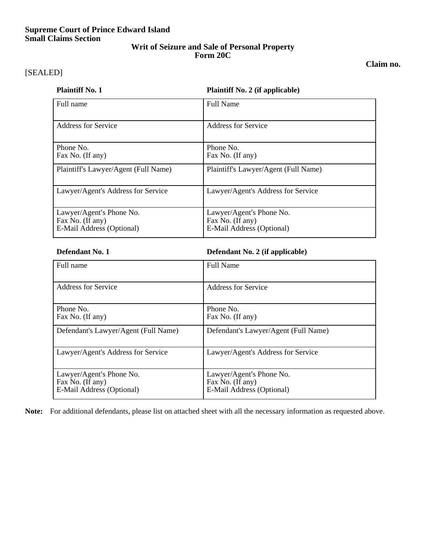# **Supreme Court of Prince Edward Island Small Claims Section**

## **Writ of Seizure and Sale of Personal Property Form 20C**

**Claim no.** 

# [SEALED]

**Plaintiff No. 2 (if applicable)** 

| Full name                                                                 | <b>Full Name</b>                                                                                    |  |  |  |
|---------------------------------------------------------------------------|-----------------------------------------------------------------------------------------------------|--|--|--|
| <b>Address for Service</b>                                                | <b>Address for Service</b><br>Phone No.<br>Fax No. (If any)<br>Plaintiff's Lawyer/Agent (Full Name) |  |  |  |
| Phone No.<br>Fax No. (If any)                                             |                                                                                                     |  |  |  |
| Plaintiff's Lawyer/Agent (Full Name)                                      |                                                                                                     |  |  |  |
| Lawyer/Agent's Address for Service                                        | Lawyer/Agent's Address for Service                                                                  |  |  |  |
| Lawyer/Agent's Phone No.<br>Fax No. (If any)<br>E-Mail Address (Optional) | Lawyer/Agent's Phone No.<br>Fax No. (If any)<br>E-Mail Address (Optional)                           |  |  |  |

**Defendant No. 1 Defendant No. 2 (if applicable)**

| Full name                                                                 | <b>Full Name</b>                                                          |  |  |  |  |
|---------------------------------------------------------------------------|---------------------------------------------------------------------------|--|--|--|--|
| <b>Address for Service</b>                                                | <b>Address for Service</b>                                                |  |  |  |  |
| Phone No.<br>Fax No. (If any)                                             | Phone No.<br>Fax No. (If any)                                             |  |  |  |  |
| Defendant's Lawyer/Agent (Full Name)                                      | Defendant's Lawyer/Agent (Full Name)                                      |  |  |  |  |
| Lawyer/Agent's Address for Service                                        | Lawyer/Agent's Address for Service                                        |  |  |  |  |
| Lawyer/Agent's Phone No.<br>Fax No. (If any)<br>E-Mail Address (Optional) | Lawyer/Agent's Phone No.<br>Fax No. (If any)<br>E-Mail Address (Optional) |  |  |  |  |

**Note:** For additional defendants, please list on attached sheet with all the necessary information as requested above.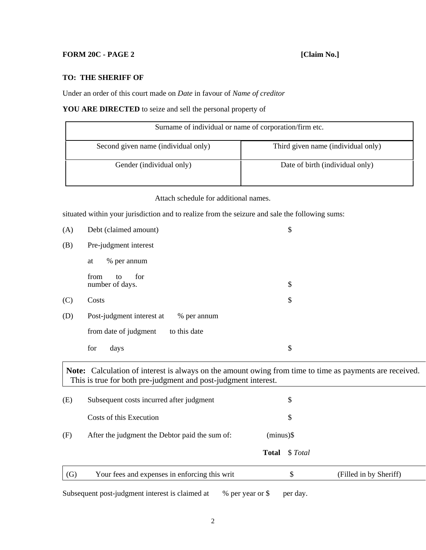## **FORM 20C - PAGE 2** [Claim No.]

### **TO: THE SHERIFF OF**

Under an order of this court made on *Date* in favour of *Name of creditor* 

### **YOU ARE DIRECTED** to seize and sell the personal property of

| Surname of individual or name of corporation/firm etc. |                                    |  |  |  |
|--------------------------------------------------------|------------------------------------|--|--|--|
| Second given name (individual only)                    | Third given name (individual only) |  |  |  |
| Gender (individual only)                               | Date of birth (individual only)    |  |  |  |

Attach schedule for additional names.

situated within your jurisdiction and to realize from the seizure and sale the following sums:

| (A)                                                                                                                                                                       | Debt (claimed amount)                                               |              | \$       |                        |  |  |
|---------------------------------------------------------------------------------------------------------------------------------------------------------------------------|---------------------------------------------------------------------|--------------|----------|------------------------|--|--|
| (B)                                                                                                                                                                       | Pre-judgment interest                                               |              |          |                        |  |  |
|                                                                                                                                                                           | % per annum<br>at                                                   |              |          |                        |  |  |
|                                                                                                                                                                           | for<br>from<br>to<br>number of days.                                |              | \$       |                        |  |  |
| (C)                                                                                                                                                                       | Costs                                                               |              | \$       |                        |  |  |
| (D)                                                                                                                                                                       | Post-judgment interest at<br>% per annum                            |              |          |                        |  |  |
|                                                                                                                                                                           | from date of judgment<br>to this date                               |              |          |                        |  |  |
|                                                                                                                                                                           | for<br>days                                                         |              | \$       |                        |  |  |
| Note: Calculation of interest is always on the amount owing from time to time as payments are received.<br>This is true for both pre-judgment and post-judgment interest. |                                                                     |              |          |                        |  |  |
| (E)                                                                                                                                                                       | Subsequent costs incurred after judgment                            |              | \$       |                        |  |  |
|                                                                                                                                                                           | Costs of this Execution                                             |              | \$       |                        |  |  |
| (F)                                                                                                                                                                       | After the judgment the Debtor paid the sum of:                      | $(minus)$ \$ |          |                        |  |  |
|                                                                                                                                                                           |                                                                     | <b>Total</b> | \$Total  |                        |  |  |
| (G)                                                                                                                                                                       | Your fees and expenses in enforcing this writ                       |              | \$       | (Filled in by Sheriff) |  |  |
|                                                                                                                                                                           | Subsequent post-judgment interest is claimed at<br>% per year or \$ |              | per day. |                        |  |  |